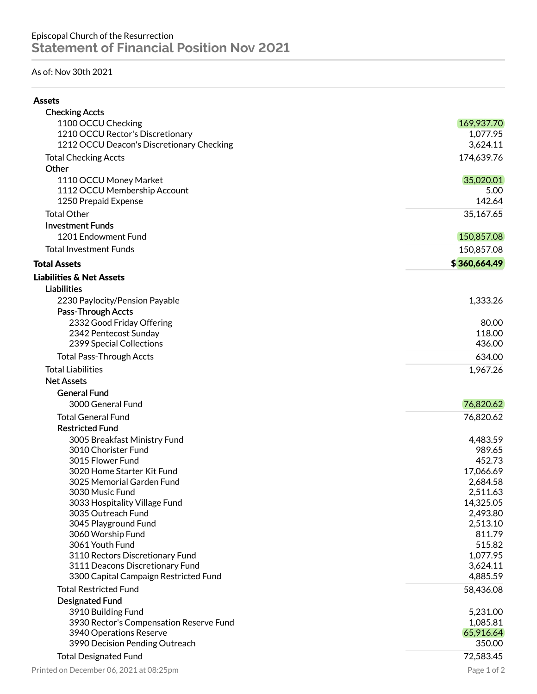## As of: Nov 30th 2021

| <b>Checking Accts</b>                     |                  |
|-------------------------------------------|------------------|
| 1100 OCCU Checking                        | 169,937.70       |
| 1210 OCCU Rector's Discretionary          | 1,077.95         |
| 1212 OCCU Deacon's Discretionary Checking | 3,624.11         |
| <b>Total Checking Accts</b>               | 174,639.76       |
| Other                                     |                  |
| 1110 OCCU Money Market                    | 35,020.01        |
| 1112 OCCU Membership Account              | 5.00             |
| 1250 Prepaid Expense                      | 142.64           |
| <b>Total Other</b>                        | 35,167.65        |
| <b>Investment Funds</b>                   |                  |
| 1201 Endowment Fund                       | 150,857.08       |
| <b>Total Investment Funds</b>             | 150,857.08       |
| <b>Total Assets</b>                       | \$360,664.49     |
| <b>Liabilities &amp; Net Assets</b>       |                  |
| <b>Liabilities</b>                        |                  |
| 2230 Paylocity/Pension Payable            | 1,333.26         |
| Pass-Through Accts                        |                  |
| 2332 Good Friday Offering                 | 80.00            |
| 2342 Pentecost Sunday                     | 118.00           |
| 2399 Special Collections                  | 436.00           |
| <b>Total Pass-Through Accts</b>           | 634.00           |
| <b>Total Liabilities</b>                  | 1,967.26         |
| <b>Net Assets</b>                         |                  |
| <b>General Fund</b>                       |                  |
| 3000 General Fund                         | 76,820.62        |
| <b>Total General Fund</b>                 | 76,820.62        |
| <b>Restricted Fund</b>                    |                  |
| 3005 Breakfast Ministry Fund              | 4,483.59         |
| 3010 Chorister Fund                       | 989.65           |
| 3015 Flower Fund                          | 452.73           |
| 3020 Home Starter Kit Fund                | 17,066.69        |
| 3025 Memorial Garden Fund                 | 2,684.58         |
| 3030 Music Fund                           | 2,511.63         |
| 3033 Hospitality Village Fund             | 14,325.05        |
| 3035 Outreach Fund                        | 2,493.80         |
| 3045 Playground Fund                      | 2,513.10         |
| 3060 Worship Fund<br>3061 Youth Fund      | 811.79<br>515.82 |
| 3110 Rectors Discretionary Fund           | 1,077.95         |
| 3111 Deacons Discretionary Fund           | 3,624.11         |
| 3300 Capital Campaign Restricted Fund     | 4,885.59         |
| <b>Total Restricted Fund</b>              | 58,436.08        |
| <b>Designated Fund</b>                    |                  |
| 3910 Building Fund                        | 5,231.00         |
| 3930 Rector's Compensation Reserve Fund   | 1,085.81         |
| 3940 Operations Reserve                   | 65,916.64        |
| 3990 Decision Pending Outreach            | 350.00           |
| <b>Total Designated Fund</b>              | 72,583.45        |
| Printed on December 06, 2021 at 08:25pm   | Page 1 of 2      |